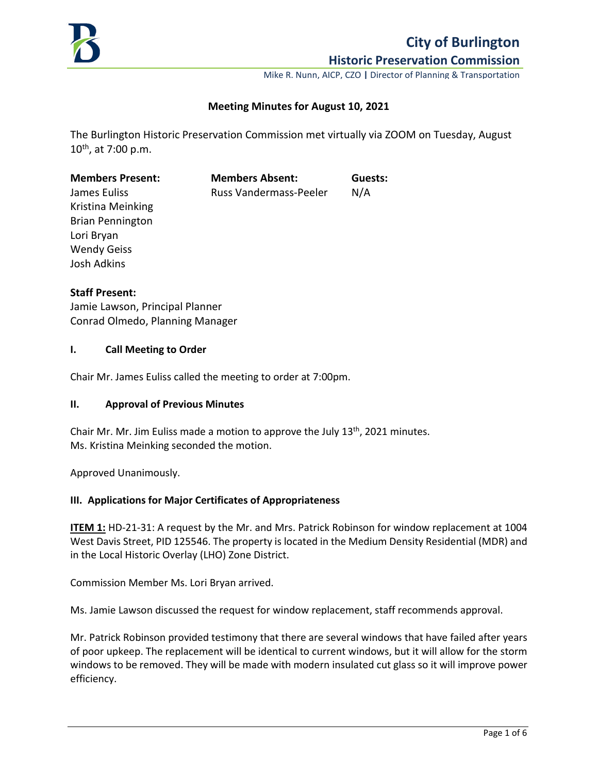

# **City of Burlington**

**Historic Preservation Commission**

Mike R. Nunn, AICP, CZO **|** Director of Planning & Transportation

# **Meeting Minutes for August 10, 2021**

The Burlington Historic Preservation Commission met virtually via ZOOM on Tuesday, August  $10^{th}$ , at 7:00 p.m.

| <b>Members Present:</b> | <b>Members Absent:</b> | Guests: |
|-------------------------|------------------------|---------|
| James Euliss            | Russ Vandermass-Peeler | N/A     |
| Kristina Meinking       |                        |         |
| <b>Brian Pennington</b> |                        |         |
| Lori Bryan              |                        |         |
| <b>Wendy Geiss</b>      |                        |         |
| Josh Adkins             |                        |         |
|                         |                        |         |

#### **Staff Present:**

Jamie Lawson, Principal Planner Conrad Olmedo, Planning Manager

#### **I. Call Meeting to Order**

Chair Mr. James Euliss called the meeting to order at 7:00pm.

#### **II. Approval of Previous Minutes**

Chair Mr. Mr. Jim Euliss made a motion to approve the July  $13<sup>th</sup>$ , 2021 minutes. Ms. Kristina Meinking seconded the motion.

Approved Unanimously.

#### **III. Applications for Major Certificates of Appropriateness**

**ITEM 1:** HD-21-31: A request by the Mr. and Mrs. Patrick Robinson for window replacement at 1004 West Davis Street, PID 125546. The property is located in the Medium Density Residential (MDR) and in the Local Historic Overlay (LHO) Zone District.

Commission Member Ms. Lori Bryan arrived.

Ms. Jamie Lawson discussed the request for window replacement, staff recommends approval.

Mr. Patrick Robinson provided testimony that there are several windows that have failed after years of poor upkeep. The replacement will be identical to current windows, but it will allow for the storm windows to be removed. They will be made with modern insulated cut glass so it will improve power efficiency.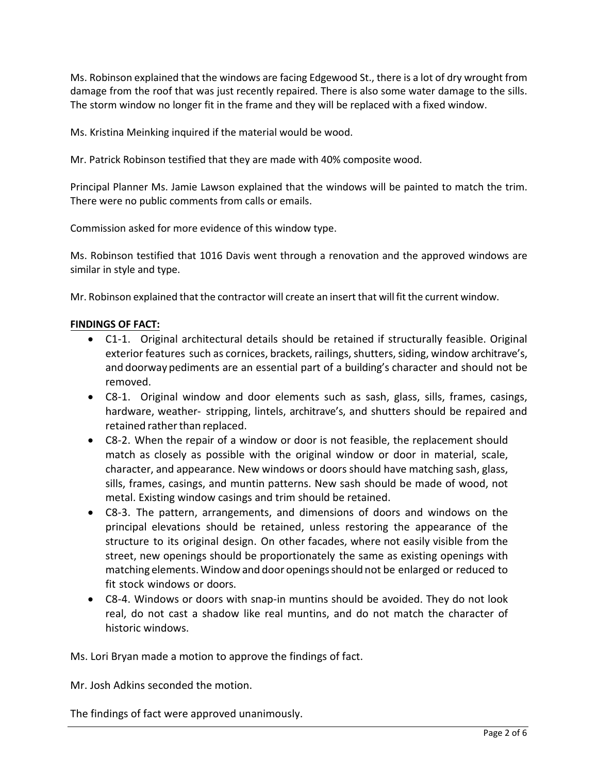Ms. Robinson explained that the windows are facing Edgewood St., there is a lot of dry wrought from damage from the roof that was just recently repaired. There is also some water damage to the sills. The storm window no longer fit in the frame and they will be replaced with a fixed window.

Ms. Kristina Meinking inquired if the material would be wood.

Mr. Patrick Robinson testified that they are made with 40% composite wood.

Principal Planner Ms. Jamie Lawson explained that the windows will be painted to match the trim. There were no public comments from calls or emails.

Commission asked for more evidence of this window type.

Ms. Robinson testified that 1016 Davis went through a renovation and the approved windows are similar in style and type.

Mr. Robinson explained that the contractor will create an insert that will fit the current window.

# **FINDINGS OF FACT:**

- C1-1. Original architectural details should be retained if structurally feasible. Original exterior features such as cornices, brackets, railings, shutters, siding, window architrave's, and doorway pediments are an essential part of a building's character and should not be removed.
- C8-1. Original window and door elements such as sash, glass, sills, frames, casings, hardware, weather- stripping, lintels, architrave's, and shutters should be repaired and retained rather than replaced.
- C8-2. When the repair of a window or door is not feasible, the replacement should match as closely as possible with the original window or door in material, scale, character, and appearance. New windows or doors should have matching sash, glass, sills, frames, casings, and muntin patterns. New sash should be made of wood, not metal. Existing window casings and trim should be retained.
- C8-3. The pattern, arrangements, and dimensions of doors and windows on the principal elevations should be retained, unless restoring the appearance of the structure to its original design. On other facades, where not easily visible from the street, new openings should be proportionately the same as existing openings with matching elements.Window and door openingsshould not be enlarged or reduced to fit stock windows or doors.
- C8-4. Windows or doors with snap-in muntins should be avoided. They do not look real, do not cast a shadow like real muntins, and do not match the character of historic windows.

Ms. Lori Bryan made a motion to approve the findings of fact.

Mr. Josh Adkins seconded the motion.

The findings of fact were approved unanimously.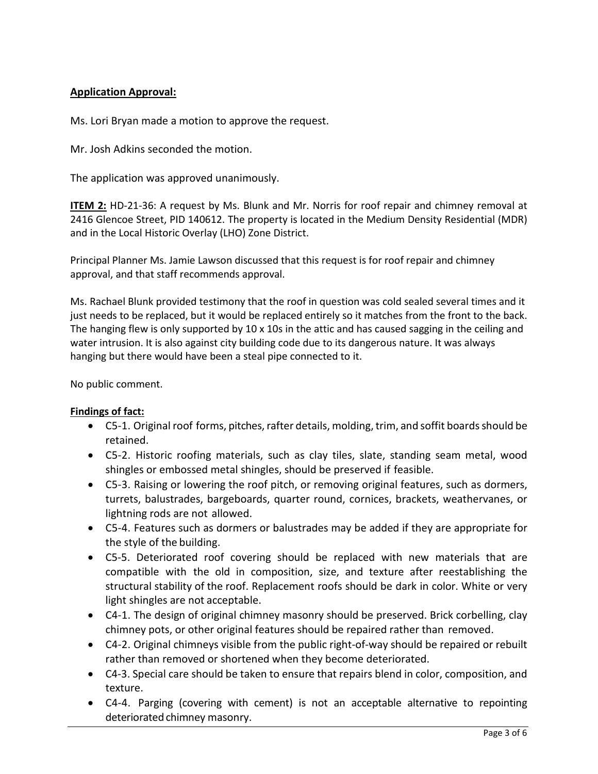# **Application Approval:**

Ms. Lori Bryan made a motion to approve the request.

Mr. Josh Adkins seconded the motion.

The application was approved unanimously.

**ITEM 2:** HD-21-36: A request by Ms. Blunk and Mr. Norris for roof repair and chimney removal at 2416 Glencoe Street, PID 140612. The property is located in the Medium Density Residential (MDR) and in the Local Historic Overlay (LHO) Zone District.

Principal Planner Ms. Jamie Lawson discussed that this request is for roof repair and chimney approval, and that staff recommends approval.

Ms. Rachael Blunk provided testimony that the roof in question was cold sealed several times and it just needs to be replaced, but it would be replaced entirely so it matches from the front to the back. The hanging flew is only supported by  $10 \times 10$ s in the attic and has caused sagging in the ceiling and water intrusion. It is also against city building code due to its dangerous nature. It was always hanging but there would have been a steal pipe connected to it.

No public comment.

# **Findings of fact:**

- $\bullet$  C5-1. Original roof forms, pitches, rafter details, molding, trim, and soffit boards should be retained.
- C5-2. Historic roofing materials, such as clay tiles, slate, standing seam metal, wood shingles or embossed metal shingles, should be preserved if feasible.
- C5-3. Raising or lowering the roof pitch, or removing original features, such as dormers, turrets, balustrades, bargeboards, quarter round, cornices, brackets, weathervanes, or lightning rods are not allowed.
- C5-4. Features such as dormers or balustrades may be added if they are appropriate for the style of the building.
- C5-5. Deteriorated roof covering should be replaced with new materials that are compatible with the old in composition, size, and texture after reestablishing the structural stability of the roof. Replacement roofs should be dark in color. White or very light shingles are not acceptable.
- C4-1. The design of original chimney masonry should be preserved. Brick corbelling, clay chimney pots, or other original features should be repaired rather than removed.
- C4-2. Original chimneys visible from the public right-of-way should be repaired or rebuilt rather than removed or shortened when they become deteriorated.
- C4-3. Special care should be taken to ensure that repairs blend in color, composition, and texture.
- C4-4. Parging (covering with cement) is not an acceptable alternative to repointing deteriorated chimney masonry.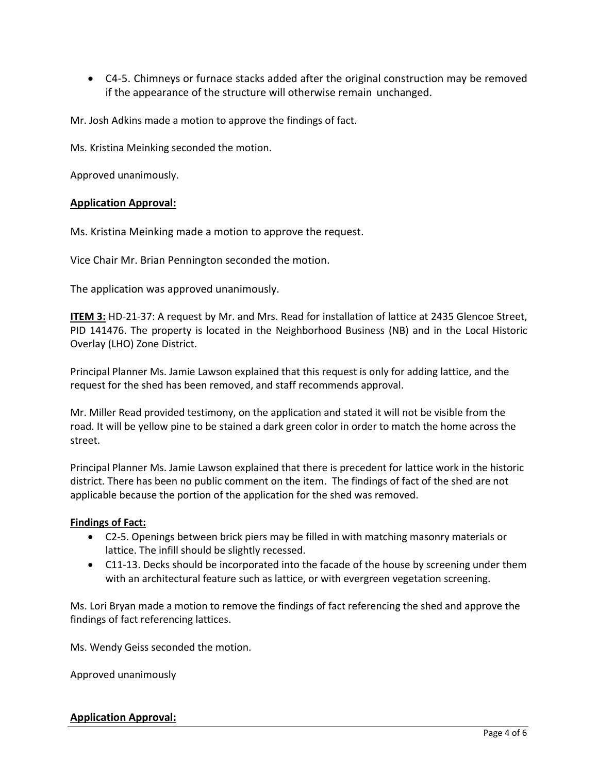• C4-5. Chimneys or furnace stacks added after the original construction may be removed if the appearance of the structure will otherwise remain unchanged.

Mr. Josh Adkins made a motion to approve the findings of fact.

Ms. Kristina Meinking seconded the motion.

Approved unanimously.

# **Application Approval:**

Ms. Kristina Meinking made a motion to approve the request.

Vice Chair Mr. Brian Pennington seconded the motion.

The application was approved unanimously.

**ITEM 3:** HD-21-37: A request by Mr. and Mrs. Read for installation of lattice at 2435 Glencoe Street, PID 141476. The property is located in the Neighborhood Business (NB) and in the Local Historic Overlay (LHO) Zone District.

Principal Planner Ms. Jamie Lawson explained that this request is only for adding lattice, and the request for the shed has been removed, and staff recommends approval.

Mr. Miller Read provided testimony, on the application and stated it will not be visible from the road. It will be yellow pine to be stained a dark green color in order to match the home across the street.

Principal Planner Ms. Jamie Lawson explained that there is precedent for lattice work in the historic district. There has been no public comment on the item. The findings of fact of the shed are not applicable because the portion of the application for the shed was removed.

#### **Findings of Fact:**

- C2-5. Openings between brick piers may be filled in with matching masonry materials or lattice. The infill should be slightly recessed.
- C11-13. Decks should be incorporated into the facade of the house by screening under them with an architectural feature such as lattice, or with evergreen vegetation screening.

Ms. Lori Bryan made a motion to remove the findings of fact referencing the shed and approve the findings of fact referencing lattices.

Ms. Wendy Geiss seconded the motion.

Approved unanimously

#### **Application Approval:**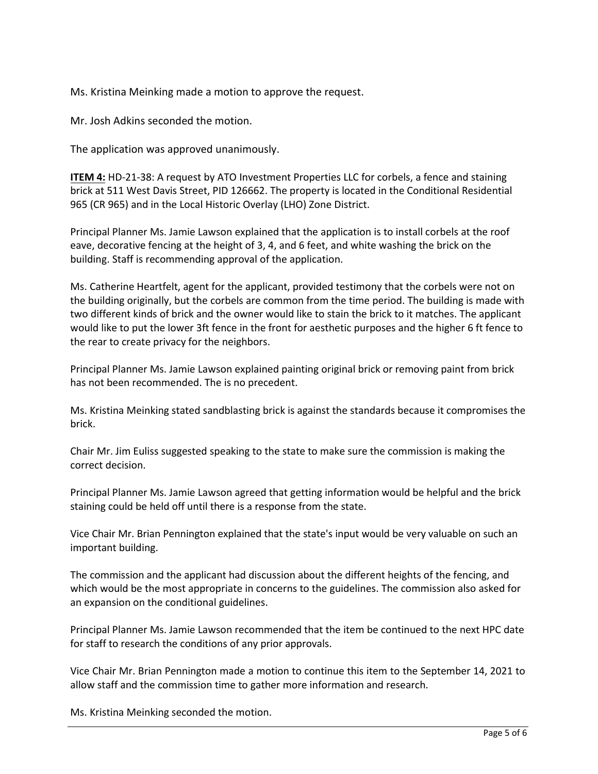Ms. Kristina Meinking made a motion to approve the request.

Mr. Josh Adkins seconded the motion.

The application was approved unanimously.

**ITEM 4:** HD-21-38: A request by ATO Investment Properties LLC for corbels, a fence and staining brick at 511 West Davis Street, PID 126662. The property is located in the Conditional Residential 965 (CR 965) and in the Local Historic Overlay (LHO) Zone District.

Principal Planner Ms. Jamie Lawson explained that the application is to install corbels at the roof eave, decorative fencing at the height of 3, 4, and 6 feet, and white washing the brick on the building. Staff is recommending approval of the application.

Ms. Catherine Heartfelt, agent for the applicant, provided testimony that the corbels were not on the building originally, but the corbels are common from the time period. The building is made with two different kinds of brick and the owner would like to stain the brick to it matches. The applicant would like to put the lower 3ft fence in the front for aesthetic purposes and the higher 6 ft fence to the rear to create privacy for the neighbors.

Principal Planner Ms. Jamie Lawson explained painting original brick or removing paint from brick has not been recommended. The is no precedent.

Ms. Kristina Meinking stated sandblasting brick is against the standards because it compromises the brick.

Chair Mr. Jim Euliss suggested speaking to the state to make sure the commission is making the correct decision.

Principal Planner Ms. Jamie Lawson agreed that getting information would be helpful and the brick staining could be held off until there is a response from the state.

Vice Chair Mr. Brian Pennington explained that the state's input would be very valuable on such an important building.

The commission and the applicant had discussion about the different heights of the fencing, and which would be the most appropriate in concerns to the guidelines. The commission also asked for an expansion on the conditional guidelines.

Principal Planner Ms. Jamie Lawson recommended that the item be continued to the next HPC date for staff to research the conditions of any prior approvals.

Vice Chair Mr. Brian Pennington made a motion to continue this item to the September 14, 2021 to allow staff and the commission time to gather more information and research.

Ms. Kristina Meinking seconded the motion.